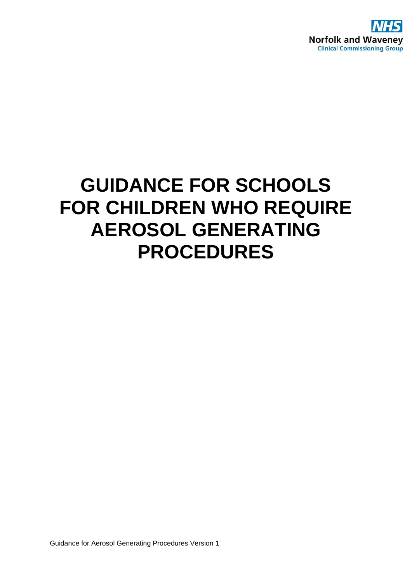

# **GUIDANCE FOR SCHOOLS FOR CHILDREN WHO REQUIRE AEROSOL GENERATING PROCEDURES**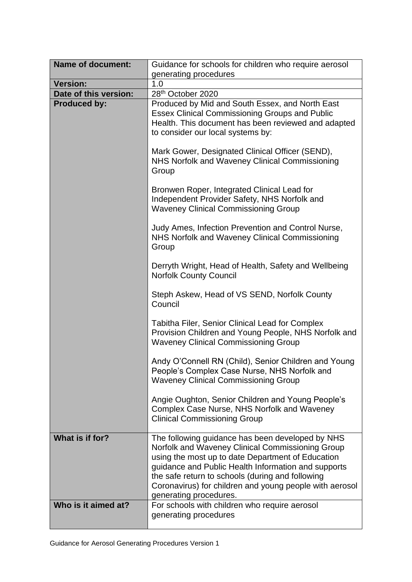| <b>Name of document:</b> | Guidance for schools for children who require aerosol                                                                                                                                                                                                                                                                                                     |
|--------------------------|-----------------------------------------------------------------------------------------------------------------------------------------------------------------------------------------------------------------------------------------------------------------------------------------------------------------------------------------------------------|
|                          | generating procedures                                                                                                                                                                                                                                                                                                                                     |
| <b>Version:</b>          | 1.0                                                                                                                                                                                                                                                                                                                                                       |
| Date of this version:    | 28th October 2020                                                                                                                                                                                                                                                                                                                                         |
| <b>Produced by:</b>      | Produced by Mid and South Essex, and North East<br><b>Essex Clinical Commissioning Groups and Public</b><br>Health. This document has been reviewed and adapted<br>to consider our local systems by:                                                                                                                                                      |
|                          | Mark Gower, Designated Clinical Officer (SEND),<br>NHS Norfolk and Waveney Clinical Commissioning<br>Group                                                                                                                                                                                                                                                |
|                          | Bronwen Roper, Integrated Clinical Lead for<br>Independent Provider Safety, NHS Norfolk and<br><b>Waveney Clinical Commissioning Group</b>                                                                                                                                                                                                                |
|                          | Judy Ames, Infection Prevention and Control Nurse,<br>NHS Norfolk and Waveney Clinical Commissioning<br>Group                                                                                                                                                                                                                                             |
|                          | Derryth Wright, Head of Health, Safety and Wellbeing<br><b>Norfolk County Council</b>                                                                                                                                                                                                                                                                     |
|                          | Steph Askew, Head of VS SEND, Norfolk County<br>Council                                                                                                                                                                                                                                                                                                   |
|                          | Tabitha Filer, Senior Clinical Lead for Complex<br>Provision Children and Young People, NHS Norfolk and<br><b>Waveney Clinical Commissioning Group</b>                                                                                                                                                                                                    |
|                          | Andy O'Connell RN (Child), Senior Children and Young<br>People's Complex Case Nurse, NHS Norfolk and<br><b>Waveney Clinical Commissioning Group</b>                                                                                                                                                                                                       |
|                          | Angie Oughton, Senior Children and Young People's<br>Complex Case Nurse, NHS Norfolk and Waveney<br><b>Clinical Commissioning Group</b>                                                                                                                                                                                                                   |
| What is if for?          | The following guidance has been developed by NHS<br>Norfolk and Waveney Clinical Commissioning Group<br>using the most up to date Department of Education<br>guidance and Public Health Information and supports<br>the safe return to schools (during and following<br>Coronavirus) for children and young people with aerosol<br>generating procedures. |
| Who is it aimed at?      | For schools with children who require aerosol<br>generating procedures                                                                                                                                                                                                                                                                                    |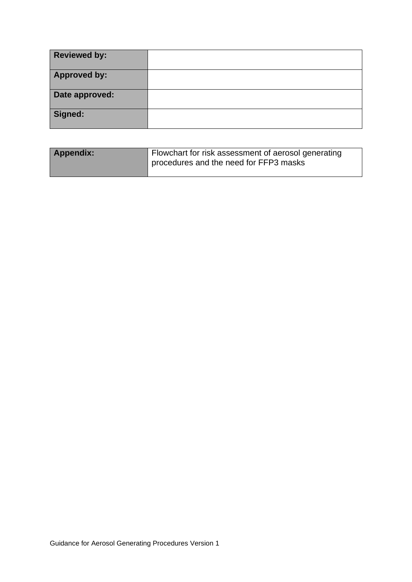| <b>Reviewed by:</b> |  |
|---------------------|--|
| <b>Approved by:</b> |  |
| Date approved:      |  |
| Signed:             |  |

| Appendix: | Flowchart for risk assessment of aerosol generating<br>procedures and the need for FFP3 masks |
|-----------|-----------------------------------------------------------------------------------------------|
|           |                                                                                               |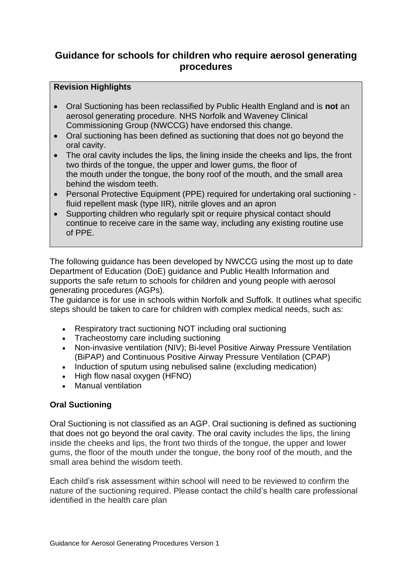# **Guidance for schools for children who require aerosol generating procedures**

#### **Revision Highlights**

- Oral Suctioning has been reclassified by Public Health England and is **not** an aerosol generating procedure. NHS Norfolk and Waveney Clinical Commissioning Group (NWCCG) have endorsed this change.
- Oral suctioning has been defined as suctioning that does not go beyond the oral cavity.
- The oral cavity includes the lips, the lining inside the cheeks and lips, the front two thirds of the tongue, the upper and lower gums, the floor of the mouth under the tongue, the bony roof of the mouth, and the small area behind the wisdom teeth.
- Personal Protective Equipment (PPE) required for undertaking oral suctioning fluid repellent mask (type IIR), nitrile gloves and an apron
- Supporting children who regularly spit or require physical contact should continue to receive care in the same way, including any existing routine use of PPE.

The following guidance has been developed by NWCCG using the most up to date Department of Education (DoE) guidance and Public Health Information and supports the safe return to schools for children and young people with aerosol generating procedures (AGPs).

The guidance is for use in schools within Norfolk and Suffolk. It outlines what specific steps should be taken to care for children with complex medical needs, such as:

- Respiratory tract suctioning NOT including oral suctioning
- Tracheostomy care including suctioning
- Non-invasive ventilation (NIV); Bi-level Positive Airway Pressure Ventilation (BiPAP) and Continuous Positive Airway Pressure Ventilation (CPAP)
- Induction of sputum using nebulised saline (excluding medication)
- High flow nasal oxygen (HFNO)
- Manual ventilation

### **Oral Suctioning**

Oral Suctioning is not classified as an AGP. Oral suctioning is defined as suctioning that does not go beyond the oral cavity. The oral cavity includes the lips, the lining inside the cheeks and lips, the front two thirds of the tongue, the upper and lower gums, the floor of the mouth under the tongue, the bony roof of the mouth, and the small area behind the wisdom teeth.

Each child's risk assessment within school will need to be reviewed to confirm the nature of the suctioning required. Please contact the child's health care professional identified in the health care plan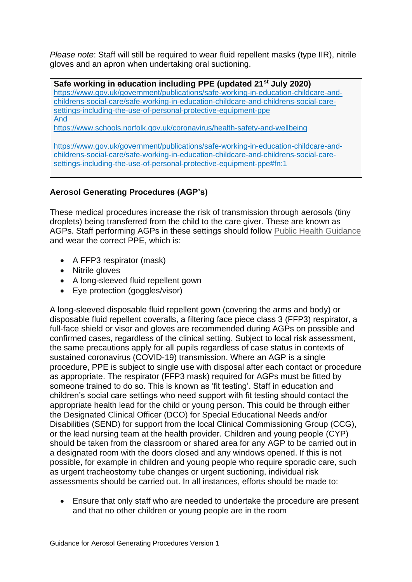*Please note*: Staff will still be required to wear fluid repellent masks (type IIR), nitrile gloves and an apron when undertaking oral suctioning.

**Safe working in education including PPE (updated 21st July 2020)** [https://www.gov.uk/government/publications/safe-working-in-education-childcare-and](https://www.gov.uk/government/publications/safe-working-in-education-childcare-and-childrens-social-care/safe-working-in-education-childcare-and-childrens-social-care-settings-including-the-use-of-personal-protective-equipment-ppe)[childrens-social-care/safe-working-in-education-childcare-and-childrens-social-care](https://www.gov.uk/government/publications/safe-working-in-education-childcare-and-childrens-social-care/safe-working-in-education-childcare-and-childrens-social-care-settings-including-the-use-of-personal-protective-equipment-ppe)[settings-including-the-use-of-personal-protective-equipment-ppe](https://www.gov.uk/government/publications/safe-working-in-education-childcare-and-childrens-social-care/safe-working-in-education-childcare-and-childrens-social-care-settings-including-the-use-of-personal-protective-equipment-ppe) And

<https://www.schools.norfolk.gov.uk/coronavirus/health-safety-and-wellbeing>

https://www.gov.uk/government/publications/safe-working-in-education-childcare-andchildrens-social-care/safe-working-in-education-childcare-and-childrens-social-caresettings-including-the-use-of-personal-protective-equipment-ppe#fn:1

## **Aerosol Generating Procedures (AGP's)**

These medical procedures increase the risk of transmission through aerosols (tiny droplets) being transferred from the child to the care giver. These are known as AGPs. Staff performing AGPs in these settings should follow [Public Health Guidance](https://www.gov.uk/government/publications/wuhan-novel-coronavirus-infection-prevention-and-control#ppe-guidance-by-healthcare-context) and wear the correct PPE, which is:

- A FFP3 respirator (mask)
- Nitrile gloves
- A long-sleeved fluid repellent gown
- Eye protection (goggles/visor)

A long-sleeved disposable fluid repellent gown (covering the arms and body) or disposable fluid repellent coveralls, a filtering face piece class 3 (FFP3) respirator, a full-face shield or visor and gloves are recommended during AGPs on possible and confirmed cases, regardless of the clinical setting. Subject to local risk assessment, the same precautions apply for all pupils regardless of case status in contexts of sustained coronavirus (COVID-19) transmission. Where an AGP is a single procedure, PPE is subject to single use with disposal after each contact or procedure as appropriate. The respirator (FFP3 mask) required for AGPs must be fitted by someone trained to do so. This is known as 'fit testing'. Staff in education and children's social care settings who need support with fit testing should contact the appropriate health lead for the child or young person. This could be through either the Designated Clinical Officer (DCO) for Special Educational Needs and/or Disabilities (SEND) for support from the local Clinical Commissioning Group (CCG), or the lead nursing team at the health provider. Children and young people (CYP) should be taken from the classroom or shared area for any AGP to be carried out in a designated room with the doors closed and any windows opened. If this is not possible, for example in children and young people who require sporadic care, such as urgent tracheostomy tube changes or urgent suctioning, individual risk assessments should be carried out. In all instances, efforts should be made to:

• Ensure that only staff who are needed to undertake the procedure are present and that no other children or young people are in the room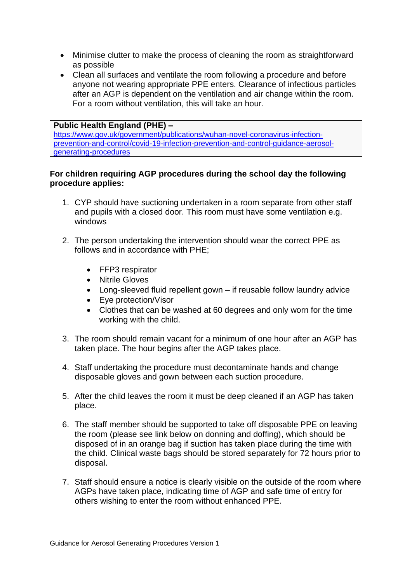- Minimise clutter to make the process of cleaning the room as straightforward as possible
- Clean all surfaces and ventilate the room following a procedure and before anyone not wearing appropriate PPE enters. Clearance of infectious particles after an AGP is dependent on the ventilation and air change within the room. For a room without ventilation, this will take an hour.

#### **Public Health England (PHE) –**

[https://www.gov.uk/government/publications/wuhan-novel-coronavirus-infection](https://www.gov.uk/government/publications/wuhan-novel-coronavirus-infection-prevention-and-control/covid-19-infection-prevention-and-control-guidance-aerosol-generating-procedures)[prevention-and-control/covid-19-infection-prevention-and-control-guidance-aerosol](https://www.gov.uk/government/publications/wuhan-novel-coronavirus-infection-prevention-and-control/covid-19-infection-prevention-and-control-guidance-aerosol-generating-procedures)[generating-procedures](https://www.gov.uk/government/publications/wuhan-novel-coronavirus-infection-prevention-and-control/covid-19-infection-prevention-and-control-guidance-aerosol-generating-procedures)

#### **For children requiring AGP procedures during the school day the following procedure applies:**

- 1. CYP should have suctioning undertaken in a room separate from other staff and pupils with a closed door. This room must have some ventilation e.g. windows
- 2. The person undertaking the intervention should wear the correct PPE as follows and in accordance with PHE;
	- FFP3 respirator
	- Nitrile Gloves
	- Long-sleeved fluid repellent gown if reusable follow laundry advice
	- Eye protection/Visor
	- Clothes that can be washed at 60 degrees and only worn for the time working with the child.
- 3. The room should remain vacant for a minimum of one hour after an AGP has taken place. The hour begins after the AGP takes place.
- 4. Staff undertaking the procedure must decontaminate hands and change disposable gloves and gown between each suction procedure.
- 5. After the child leaves the room it must be deep cleaned if an AGP has taken place.
- 6. The staff member should be supported to take off disposable PPE on leaving the room (please see link below on donning and doffing), which should be disposed of in an orange bag if suction has taken place during the time with the child. Clinical waste bags should be stored separately for 72 hours prior to disposal.
- 7. Staff should ensure a notice is clearly visible on the outside of the room where AGPs have taken place, indicating time of AGP and safe time of entry for others wishing to enter the room without enhanced PPE.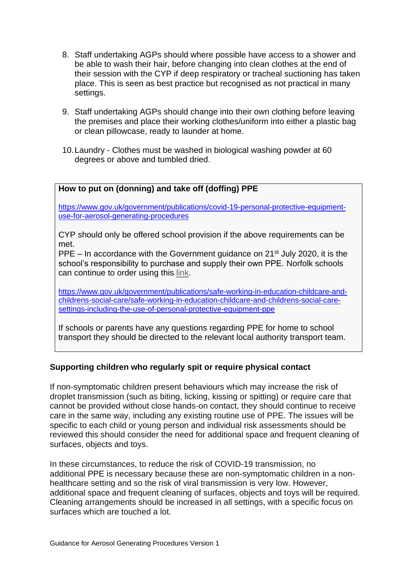- 8. Staff undertaking AGPs should where possible have access to a shower and be able to wash their hair, before changing into clean clothes at the end of their session with the CYP if deep respiratory or tracheal suctioning has taken place. This is seen as best practice but recognised as not practical in many settings.
- 9. Staff undertaking AGPs should change into their own clothing before leaving the premises and place their working clothes/uniform into either a plastic bag or clean pillowcase, ready to launder at home.
- 10.Laundry Clothes must be washed in biological washing powder at 60 degrees or above and tumbled dried.

#### **How to put on (donning) and take off (doffing) PPE**

[https://www.gov.uk/government/publications/covid-19-personal-protective-equipment](https://www.gov.uk/government/publications/covid-19-personal-protective-equipment-use-for-aerosol-generating-procedures)[use-for-aerosol-generating-procedures](https://www.gov.uk/government/publications/covid-19-personal-protective-equipment-use-for-aerosol-generating-procedures)

CYP should only be offered school provision if the above requirements can be met.

PPE – In accordance with the Government guidance on  $21<sup>st</sup>$  July 2020, it is the school's responsibility to purchase and supply their own PPE. Norfolk schools can continue to order using this [link.](https://forms.office.com/Pages/ResponsePage.aspx?id=fhcZFOBXD0-v8P1htUnRDmCW9VApAhZEuaf3LMqwQHRUOEhWMUI3TkpHUUpTTFM3RzgxTFlOWVhJNCQlQCN0PWcu)

[https://www.gov.uk/government/publications/safe-working-in-education-childcare-and](https://www.gov.uk/government/publications/safe-working-in-education-childcare-and-childrens-social-care/safe-working-in-education-childcare-and-childrens-social-care-settings-including-the-use-of-personal-protective-equipment-ppe)[childrens-social-care/safe-working-in-education-childcare-and-childrens-social-care](https://www.gov.uk/government/publications/safe-working-in-education-childcare-and-childrens-social-care/safe-working-in-education-childcare-and-childrens-social-care-settings-including-the-use-of-personal-protective-equipment-ppe)[settings-including-the-use-of-personal-protective-equipment-ppe](https://www.gov.uk/government/publications/safe-working-in-education-childcare-and-childrens-social-care/safe-working-in-education-childcare-and-childrens-social-care-settings-including-the-use-of-personal-protective-equipment-ppe)

If schools or parents have any questions regarding PPE for home to school transport they should be directed to the relevant local authority transport team.

#### **Supporting children who regularly spit or require physical contact**

If non-symptomatic children present behaviours which may increase the risk of droplet transmission (such as biting, licking, kissing or spitting) or require care that cannot be provided without close hands-on contact, they should continue to receive care in the same way, including any existing routine use of PPE. The issues will be specific to each child or young person and individual risk assessments should be reviewed this should consider the need for additional space and frequent cleaning of surfaces, objects and toys.

In these circumstances, to reduce the risk of COVID-19 transmission, no additional PPE is necessary because these are non-symptomatic children in a nonhealthcare setting and so the risk of viral transmission is very low. However, additional space and frequent cleaning of surfaces, objects and toys will be required. Cleaning arrangements should be increased in all settings, with a specific focus on surfaces which are touched a lot.